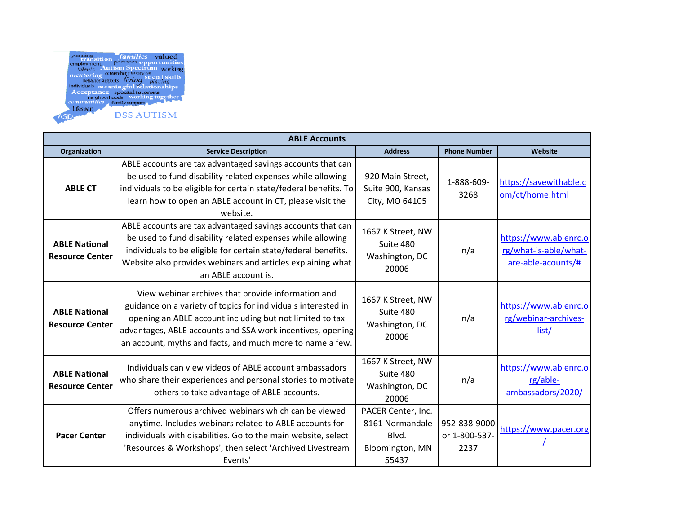

| <b>ABLE Accounts</b>                           |                                                                                                                                                                                                                                                                                                            |                                                                            |                                       |                                                                      |  |  |  |
|------------------------------------------------|------------------------------------------------------------------------------------------------------------------------------------------------------------------------------------------------------------------------------------------------------------------------------------------------------------|----------------------------------------------------------------------------|---------------------------------------|----------------------------------------------------------------------|--|--|--|
| Organization                                   | <b>Service Description</b>                                                                                                                                                                                                                                                                                 | <b>Address</b>                                                             | <b>Phone Number</b>                   | Website                                                              |  |  |  |
| <b>ABLE CT</b>                                 | ABLE accounts are tax advantaged savings accounts that can<br>be used to fund disability related expenses while allowing<br>individuals to be eligible for certain state/federal benefits. To<br>learn how to open an ABLE account in CT, please visit the<br>website.                                     | 920 Main Street,<br>Suite 900, Kansas<br>City, MO 64105                    | 1-888-609-<br>3268                    | https://savewithable.c<br>om/ct/home.html                            |  |  |  |
| <b>ABLE National</b><br><b>Resource Center</b> | ABLE accounts are tax advantaged savings accounts that can<br>be used to fund disability related expenses while allowing<br>individuals to be eligible for certain state/federal benefits.<br>Website also provides webinars and articles explaining what<br>an ABLE account is.                           | 1667 K Street, NW<br>Suite 480<br>Washington, DC<br>20006                  | n/a                                   | https://www.ablenrc.o<br>rg/what-is-able/what-<br>are-able-acounts/# |  |  |  |
| <b>ABLE National</b><br><b>Resource Center</b> | View webinar archives that provide information and<br>guidance on a variety of topics for individuals interested in<br>opening an ABLE account including but not limited to tax<br>advantages, ABLE accounts and SSA work incentives, opening<br>an account, myths and facts, and much more to name a few. | 1667 K Street, NW<br>Suite 480<br>Washington, DC<br>20006                  | n/a                                   | https://www.ablenrc.o<br>rg/webinar-archives-<br>list/               |  |  |  |
| <b>ABLE National</b><br><b>Resource Center</b> | Individuals can view videos of ABLE account ambassadors<br>who share their experiences and personal stories to motivate<br>others to take advantage of ABLE accounts.                                                                                                                                      | 1667 K Street, NW<br>Suite 480<br>Washington, DC<br>20006                  | n/a                                   | https://www.ablenrc.o<br>rg/able-<br>ambassadors/2020/               |  |  |  |
| <b>Pacer Center</b>                            | Offers numerous archived webinars which can be viewed<br>anytime. Includes webinars related to ABLE accounts for<br>individuals with disabilities. Go to the main website, select<br>'Resources & Workshops', then select 'Archived Livestream<br>Events'                                                  | PACER Center, Inc.<br>8161 Normandale<br>Blvd.<br>Bloomington, MN<br>55437 | 952-838-9000<br>or 1-800-537-<br>2237 | https://www.pacer.org                                                |  |  |  |